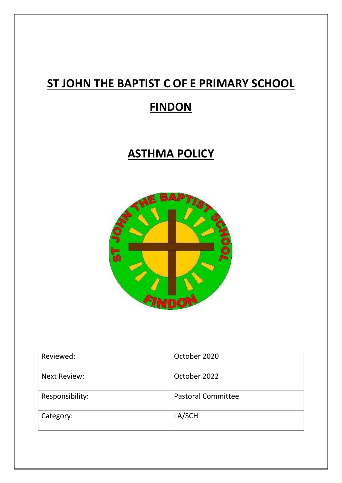# **ST JOHN THE BAPTIST C OF E PRIMARY SCHOOL**

### **FINDON**

### **ASTHMA POLICY**



| Reviewed:           | October 2020              |
|---------------------|---------------------------|
| <b>Next Review:</b> | October 2022              |
| Responsibility:     | <b>Pastoral Committee</b> |
| Category:           | LA/SCH                    |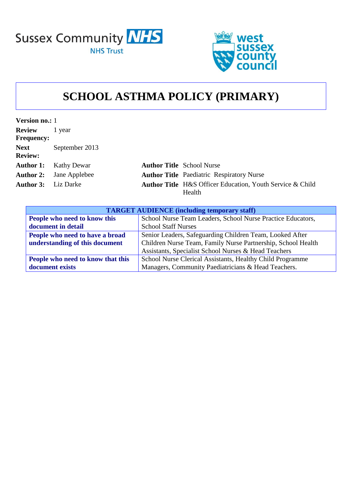



### **SCHOOL ASTHMA POLICY (PRIMARY)**

| <b>Version no.: 1</b> |                                |                                                                  |
|-----------------------|--------------------------------|------------------------------------------------------------------|
| <b>Review</b>         | 1 year                         |                                                                  |
| <b>Frequency:</b>     |                                |                                                                  |
| <b>Next</b>           | September 2013                 |                                                                  |
| <b>Review:</b>        |                                |                                                                  |
| <b>Author 1:</b>      | Kathy Dewar                    | <b>Author Title School Nurse</b>                                 |
|                       | <b>Author 2:</b> Jane Applebee | <b>Author Title</b> Paediatric Respiratory Nurse                 |
| <b>Author 3:</b>      | Liz Darke                      | <b>Author Title</b> H&S Officer Education, Youth Service & Child |
|                       |                                | Health                                                           |

| <b>TARGET AUDIENCE</b> (including temporary staff) |                                                              |  |  |
|----------------------------------------------------|--------------------------------------------------------------|--|--|
| People who need to know this                       | School Nurse Team Leaders, School Nurse Practice Educators,  |  |  |
| document in detail                                 | <b>School Staff Nurses</b>                                   |  |  |
| People who need to have a broad                    | Senior Leaders, Safeguarding Children Team, Looked After     |  |  |
| understanding of this document                     | Children Nurse Team, Family Nurse Partnership, School Health |  |  |
|                                                    | Assistants, Specialist School Nurses & Head Teachers         |  |  |
| People who need to know that this                  | School Nurse Clerical Assistants, Healthy Child Programme    |  |  |
| document exists                                    | Managers, Community Paediatricians & Head Teachers.          |  |  |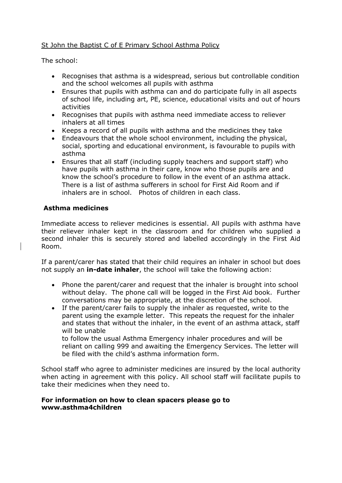#### St John the Baptist C of E Primary School Asthma Policy

The school:

- Recognises that asthma is a widespread, serious but controllable condition and the school welcomes all pupils with asthma
- Ensures that pupils with asthma can and do participate fully in all aspects of school life, including art, PE, science, educational visits and out of hours activities
- Recognises that pupils with asthma need immediate access to reliever inhalers at all times
- Keeps a record of all pupils with asthma and the medicines they take
- Endeavours that the whole school environment, including the physical, social, sporting and educational environment, is favourable to pupils with asthma
- Ensures that all staff (including supply teachers and support staff) who have pupils with asthma in their care, know who those pupils are and know the school's procedure to follow in the event of an asthma attack. There is a list of asthma sufferers in school for First Aid Room and if inhalers are in school. Photos of children in each class.

#### **Asthma medicines**

Immediate access to reliever medicines is essential. All pupils with asthma have their reliever inhaler kept in the classroom and for children who supplied a second inhaler this is securely stored and labelled accordingly in the First Aid Room.

If a parent/carer has stated that their child requires an inhaler in school but does not supply an **in-date inhaler**, the school will take the following action:

- Phone the parent/carer and request that the inhaler is brought into school without delay. The phone call will be logged in the First Aid book. Further conversations may be appropriate, at the discretion of the school.
- If the parent/carer fails to supply the inhaler as requested, write to the parent using the example letter. This repeats the request for the inhaler and states that without the inhaler, in the event of an asthma attack, staff will be unable to follow the usual Asthma Emergency inhaler procedures and will be

reliant on calling 999 and awaiting the Emergency Services. The letter will be filed with the child's asthma information form.

School staff who agree to administer medicines are insured by the local authority when acting in agreement with this policy. All school staff will facilitate pupils to take their medicines when they need to.

#### **For information on how to clean spacers please go to www.asthma4children**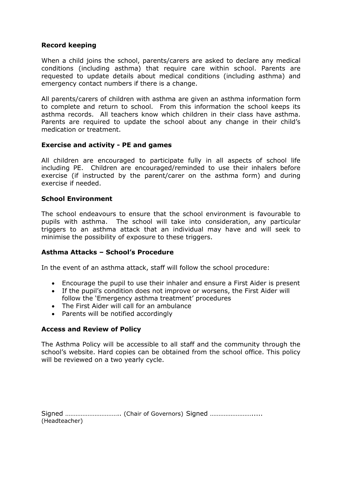#### **Record keeping**

When a child joins the school, parents/carers are asked to declare any medical conditions (including asthma) that require care within school. Parents are requested to update details about medical conditions (including asthma) and emergency contact numbers if there is a change.

All parents/carers of children with asthma are given an asthma information form to complete and return to school. From this information the school keeps its asthma records. All teachers know which children in their class have asthma. Parents are required to update the school about any change in their child's medication or treatment.

#### **Exercise and activity - PE and games**

All children are encouraged to participate fully in all aspects of school life including PE. Children are encouraged/reminded to use their inhalers before exercise (if instructed by the parent/carer on the asthma form) and during exercise if needed.

#### **School Environment**

The school endeavours to ensure that the school environment is favourable to pupils with asthma. The school will take into consideration, any particular triggers to an asthma attack that an individual may have and will seek to minimise the possibility of exposure to these triggers.

#### **Asthma Attacks – School's Procedure**

In the event of an asthma attack, staff will follow the school procedure:

- Encourage the pupil to use their inhaler and ensure a First Aider is present
- If the pupil's condition does not improve or worsens, the First Aider will follow the 'Emergency asthma treatment' procedures
- The First Aider will call for an ambulance
- Parents will be notified accordingly

#### **Access and Review of Policy**

The Asthma Policy will be accessible to all staff and the community through the school's website. Hard copies can be obtained from the school office. This policy will be reviewed on a two yearly cycle.

| (Headteacher) |  |  |
|---------------|--|--|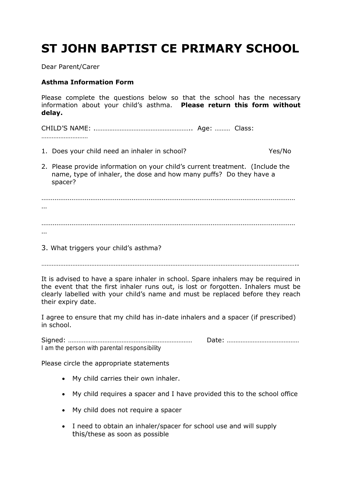## **ST JOHN BAPTIST CE PRIMARY SCHOOL**

Dear Parent/Carer

#### **Asthma Information Form**

Please complete the questions below so that the school has the necessary information about your child's asthma. **Please return this form without delay.**

CHILD'S NAME: .……………………………………………….. Age: ……… Class: ………………………

- 1. Does your child need an inhaler in school? Yes/No
- 2. Please provide information on your child's current treatment. (Include the name, type of inhaler, the dose and how many puffs? Do they have a spacer?

……………………………………………………………………………………………………………………… … ……………………………………………………………………………………………………………………… …

3. What triggers your child's asthma?

…………………………………………………………………………………………………………………………………..

It is advised to have a spare inhaler in school. Spare inhalers may be required in the event that the first inhaler runs out, is lost or forgotten. Inhalers must be clearly labelled with your child's name and must be replaced before they reach their expiry date.

I agree to ensure that my child has in-date inhalers and a spacer (if prescribed) in school.

Signed: ……………………………………………………………… Date: …………………………………… *I am the person with parental responsibility*

Please circle the appropriate statements

- My child carries their own inhaler.
- My child requires a spacer and I have provided this to the school office
- My child does not require a spacer
- I need to obtain an inhaler/spacer for school use and will supply this/these as soon as possible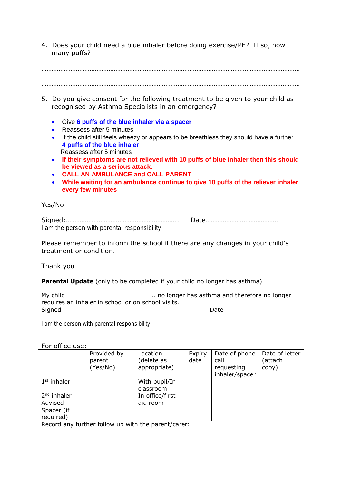4. Does your child need a blue inhaler before doing exercise/PE? If so, how many puffs?

……………………………………………………………………………………………………………………………………

- …………………………………………………………………………………………………………………………………… 5. Do you give consent for the following treatment to be given to your child as recognised by Asthma Specialists in an emergency? Give **6 puffs of the blue inhaler via a spacer**
	- Reassess after 5 minutes
	- If the child still feels wheezy or appears to be breathless they should have a further **4 puffs of the blue inhaler** Reassess after 5 minutes
	- **If their symptoms are not relieved with 10 puffs of blue inhaler then this should be viewed as a serious attack:**
	- **CALL AN AMBULANCE and CALL PARENT**
	- **While waiting for an ambulance continue to give 10 puffs of the reliever inhaler every few minutes**

#### Yes/No

Signed:………………………………………………………… Date…………………………………… *I am the person with parental responsibility*

Please remember to inform the school if there are any changes in your child's treatment or condition.

#### Thank you

**Parental Update** (only to be completed if your child no longer has asthma)

My child ……………………………………………….. no longer has asthma and therefore no longer requires an inhaler in school or on school visits.

Signed Date Date

*I am the person with parental responsibility*

#### For office use:

|                                                     | Provided by<br>parent<br>(Yes/No) | Location<br>(delete as<br>appropriate) | Expiry<br>date | Date of phone<br>call<br>requesting<br>inhaler/spacer | Date of letter<br>attach)<br>copy) |  |
|-----------------------------------------------------|-----------------------------------|----------------------------------------|----------------|-------------------------------------------------------|------------------------------------|--|
| $1st$ inhaler                                       |                                   | With pupil/In<br>classroom             |                |                                                       |                                    |  |
| $2nd$ inhaler<br>Advised                            |                                   | In office/first<br>aid room            |                |                                                       |                                    |  |
| Spacer (if<br>required)                             |                                   |                                        |                |                                                       |                                    |  |
| Record any further follow up with the parent/carer: |                                   |                                        |                |                                                       |                                    |  |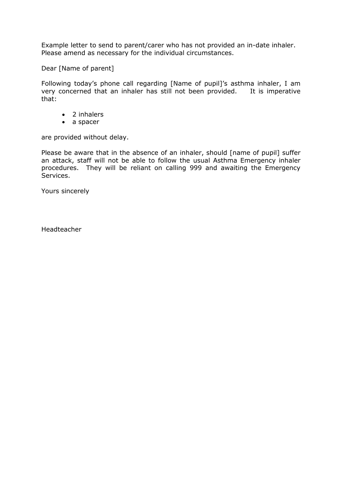Example letter to send to parent/carer who has not provided an in-date inhaler. Please amend as necessary for the individual circumstances.

Dear [Name of parent]

Following today's phone call regarding [Name of pupil]'s asthma inhaler, I am very concerned that an inhaler has still not been provided. It is imperative that:

- 2 inhalers
- a spacer

are provided without delay.

Please be aware that in the absence of an inhaler, should [name of pupil] suffer an attack, staff will not be able to follow the usual Asthma Emergency inhaler procedures. They will be reliant on calling 999 and awaiting the Emergency Services.

Yours sincerely

Headteacher